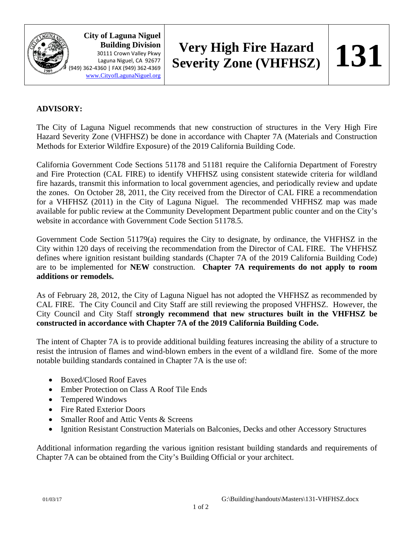

**City of Laguna Niguel Building Division** 30111 Crown Valley Pkwy Laguna Niguel, CA 92677 (949) 362-4360 | FAX (949) 362-4369 [www.CityofLagunaNiguel.org](http://www.cityoflagunaniguel.org/)

## **Very High Fire Hazard Severity Zone (VHFHSZ)**  $\vert$  **131**

## **ADVISORY:**

The City of Laguna Niguel recommends that new construction of structures in the Very High Fire Hazard Severity Zone (VHFHSZ) be done in accordance with Chapter 7A (Materials and Construction Methods for Exterior Wildfire Exposure) of the 2019 California Building Code.

California Government Code Sections 51178 and 51181 require the California Department of Forestry and Fire Protection (CAL FIRE) to identify VHFHSZ using consistent statewide criteria for wildland fire hazards, transmit this information to local government agencies, and periodically review and update the zones. On October 28, 2011, the City received from the Director of CAL FIRE a recommendation for a VHFHSZ (2011) in the City of Laguna Niguel. The recommended VHFHSZ map was made available for public review at the Community Development Department public counter and on the City's website in accordance with Government Code Section 51178.5.

Government Code Section 51179(a) requires the City to designate, by ordinance, the VHFHSZ in the City within 120 days of receiving the recommendation from the Director of CAL FIRE. The VHFHSZ defines where ignition resistant building standards (Chapter 7A of the 2019 California Building Code) are to be implemented for **NEW** construction. **Chapter 7A requirements do not apply to room additions or remodels.**

As of February 28, 2012, the City of Laguna Niguel has not adopted the VHFHSZ as recommended by CAL FIRE. The City Council and City Staff are still reviewing the proposed VHFHSZ. However, the City Council and City Staff **strongly recommend that new structures built in the VHFHSZ be constructed in accordance with Chapter 7A of the 2019 California Building Code.**

The intent of Chapter 7A is to provide additional building features increasing the ability of a structure to resist the intrusion of flames and wind-blown embers in the event of a wildland fire. Some of the more notable building standards contained in Chapter 7A is the use of:

- Boxed/Closed Roof Eaves
- Ember Protection on Class A Roof Tile Ends
- Tempered Windows
- Fire Rated Exterior Doors
- Smaller Roof and Attic Vents & Screens
- Ignition Resistant Construction Materials on Balconies, Decks and other Accessory Structures

Additional information regarding the various ignition resistant building standards and requirements of Chapter 7A can be obtained from the City's Building Official or your architect.